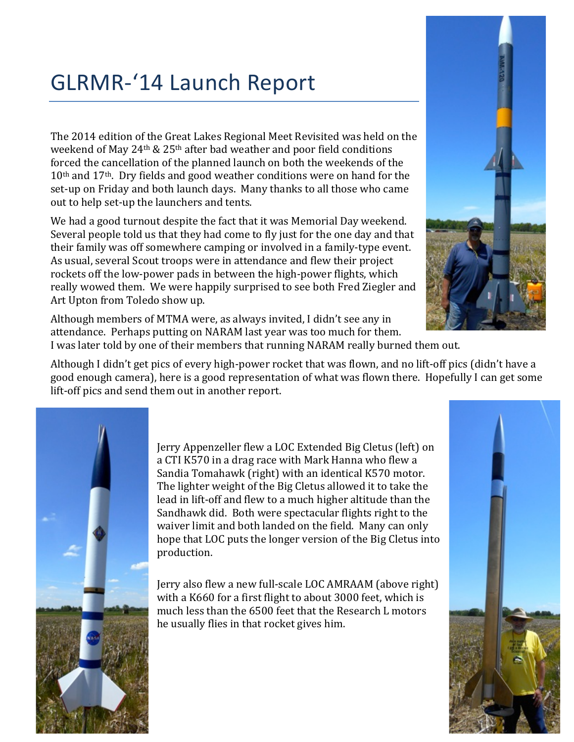## GLRMR-'14 Launch Report

The 2014 edition of the Great Lakes Regional Meet Revisited was held on the weekend of May 24<sup>th</sup> & 25<sup>th</sup> after bad weather and poor field conditions forced the cancellation of the planned launch on both the weekends of the  $10<sup>th</sup>$  and  $17<sup>th</sup>$ . Dry fields and good weather conditions were on hand for the set-up on Friday and both launch days. Many thanks to all those who came out to help set-up the launchers and tents.

We had a good turnout despite the fact that it was Memorial Day weekend. Several people told us that they had come to fly just for the one day and that their family was off somewhere camping or involved in a family-type event. As usual, several Scout troops were in attendance and flew their project rockets off the low-power pads in between the high-power flights, which really wowed them. We were happily surprised to see both Fred Ziegler and Art Upton from Toledo show up.

Although members of MTMA were, as always invited, I didn't see any in attendance. Perhaps putting on NARAM last year was too much for them. I was later told by one of their members that running NARAM really burned them out.

Although I didn't get pics of every high-power rocket that was flown, and no lift-off pics (didn't have a good enough camera), here is a good representation of what was flown there. Hopefully I can get some lift-off pics and send them out in another report.



Jerry Appenzeller flew a LOC Extended Big Cletus (left) on a CTI K570 in a drag race with Mark Hanna who flew a Sandia Tomahawk (right) with an identical K570 motor. The lighter weight of the Big Cletus allowed it to take the lead in lift-off and flew to a much higher altitude than the Sandhawk did. Both were spectacular flights right to the waiver limit and both landed on the field. Many can only hope that LOC puts the longer version of the Big Cletus into production.

Jerry also flew a new full-scale LOC AMRAAM (above right) with a K660 for a first flight to about 3000 feet, which is much less than the 6500 feet that the Research L motors he usually flies in that rocket gives him.



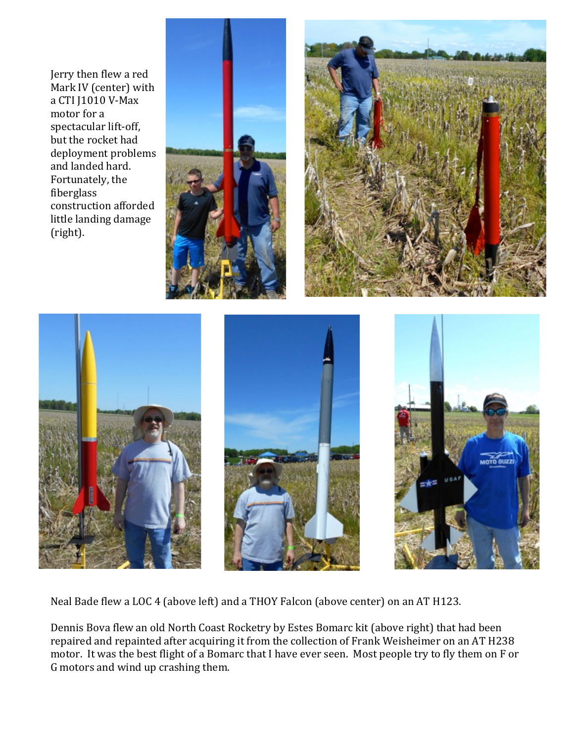Jerry then flew a red Mark IV (center) with a CTI J1010 V-Max motor for a spectacular lift-off, but the rocket had deployment problems and landed hard. Fortunately, the fiberglass construction afforded little landing damage (right). 









Neal Bade flew a LOC 4 (above left) and a THOY Falcon (above center) on an AT H123.

Dennis Bova flew an old North Coast Rocketry by Estes Bomarc kit (above right) that had been repaired and repainted after acquiring it from the collection of Frank Weisheimer on an AT H238 motor. It was the best flight of a Bomarc that I have ever seen. Most people try to fly them on F or G motors and wind up crashing them.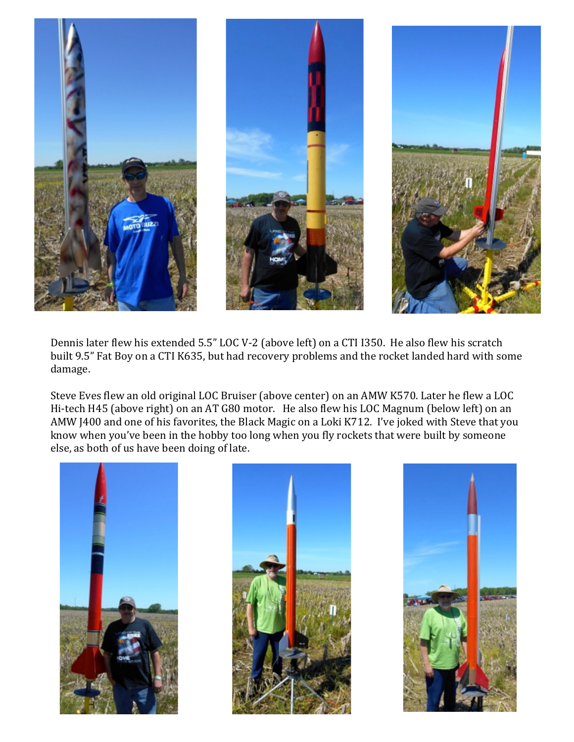

Dennis later flew his extended 5.5" LOC V-2 (above left) on a CTI I350. He also flew his scratch built 9.5" Fat Boy on a CTI K635, but had recovery problems and the rocket landed hard with some damage. 

Steve Eves flew an old original LOC Bruiser (above center) on an AMW K570. Later he flew a LOC Hi-tech H45 (above right) on an AT G80 motor. He also flew his LOC Magnum (below left) on an AMW J400 and one of his favorites, the Black Magic on a Loki K712. I've joked with Steve that you know when you've been in the hobby too long when you fly rockets that were built by someone else, as both of us have been doing of late.





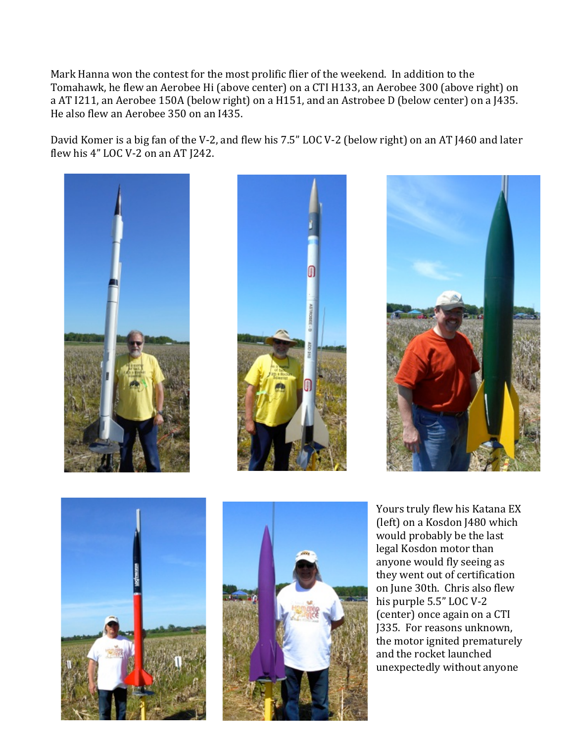Mark Hanna won the contest for the most prolific flier of the weekend. In addition to the Tomahawk, he flew an Aerobee Hi (above center) on a CTI H133, an Aerobee 300 (above right) on a AT I211, an Aerobee 150A (below right) on a H151, and an Astrobee D (below center) on a J435. He also flew an Aerobee 350 on an I435.

David Komer is a big fan of the V-2, and flew his 7.5" LOC V-2 (below right) on an AT J460 and later flew his 4" LOC V-2 on an AT J242.











Yours truly flew his Katana EX (left) on a Kosdon J480 which would probably be the last legal Kosdon motor than anyone would fly seeing as they went out of certification on June 30th. Chris also flew his purple 5.5" LOC V-2 (center) once again on a CTI J335. For reasons unknown, the motor ignited prematurely and the rocket launched unexpectedly without anyone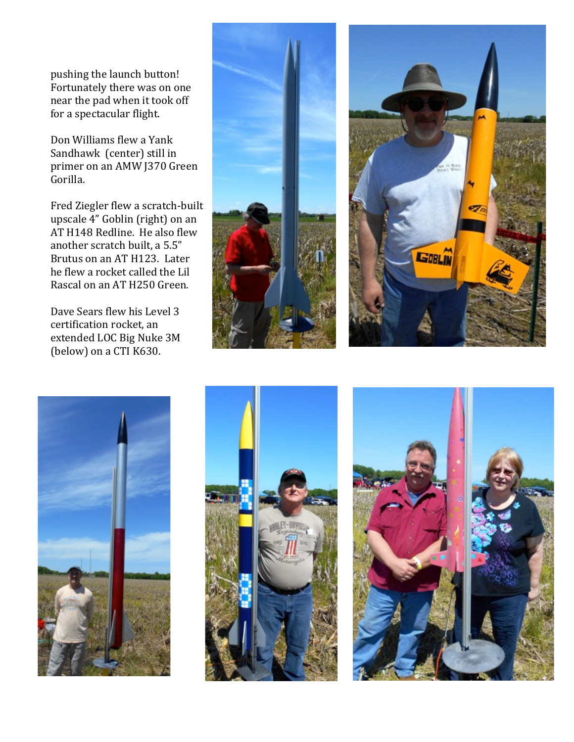pushing the launch button! Fortunately there was on one near the pad when it took off for a spectacular flight.

Don Williams flew a Yank Sandhawk (center) still in primer on an AMW J370 Green Gorilla. 

Fred Ziegler flew a scratch-built upscale 4" Goblin (right) on an AT H148 Redline. He also flew another scratch built, a 5.5" Brutus on an AT H123. Later he flew a rocket called the Lil Rascal on an AT H250 Green.

Dave Sears flew his Level 3 certification rocket, an extended LOC Big Nuke 3M (below) on a CTI K630.